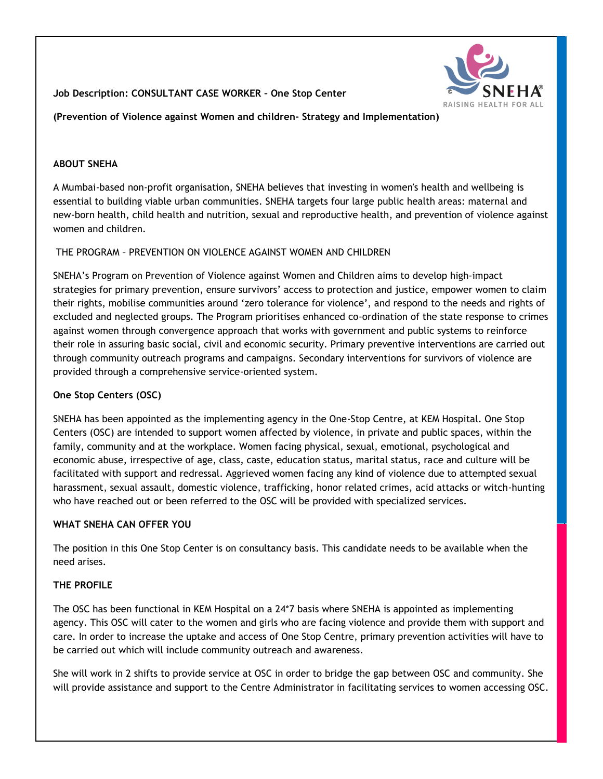# **Job Description: CONSULTANT CASE WORKER – One Stop Center**

**(Prevention of Violence against Women and children- Strategy and Implementation)**

### **ABOUT SNEHA**

A Mumbai-based non-profit organisation, SNEHA believes that investing in women's health and wellbeing is essential to building viable urban communities. SNEHA targets four large public health areas: maternal and new-born health, child health and nutrition, sexual and reproductive health, and prevention of violence against women and children.

## THE PROGRAM – PREVENTION ON VIOLENCE AGAINST WOMEN AND CHILDREN

SNEHA"s Program on Prevention of Violence against Women and Children aims to develop high‐impact strategies for primary prevention, ensure survivors" access to protection and justice, empower women to claim their rights, mobilise communities around "zero tolerance for violence", and respond to the needs and rights of excluded and neglected groups. The Program prioritises enhanced co-ordination of the state response to crimes against women through convergence approach that works with government and public systems to reinforce their role in assuring basic social, civil and economic security. Primary preventive interventions are carried out through community outreach programs and campaigns. Secondary interventions for survivors of violence are provided through a comprehensive service-oriented system.

# **One Stop Centers (OSC)**

SNEHA has been appointed as the implementing agency in the One-Stop Centre, at KEM Hospital. One Stop Centers (OSC) are intended to support women affected by violence, in private and public spaces, within the family, community and at the workplace. Women facing physical, sexual, emotional, psychological and economic abuse, irrespective of age, class, caste, education status, marital status, race and culture will be facilitated with support and redressal. Aggrieved women facing any kind of violence due to attempted sexual harassment, sexual assault, domestic violence, trafficking, honor related crimes, acid attacks or witch-hunting who have reached out or been referred to the OSC will be provided with specialized services.

### **WHAT SNEHA CAN OFFER YOU**

The position in this One Stop Center is on consultancy basis. This candidate needs to be available when the need arises.

### **THE PROFILE**

The OSC has been functional in KEM Hospital on a 24\*7 basis where SNEHA is appointed as implementing agency. This OSC will cater to the women and girls who are facing violence and provide them with support and care. In order to increase the uptake and access of One Stop Centre, primary prevention activities will have to be carried out which will include community outreach and awareness.

She will work in 2 shifts to provide service at OSC in order to bridge the gap between OSC and community. She will provide assistance and support to the Centre Administrator in facilitating services to women accessing OSC.